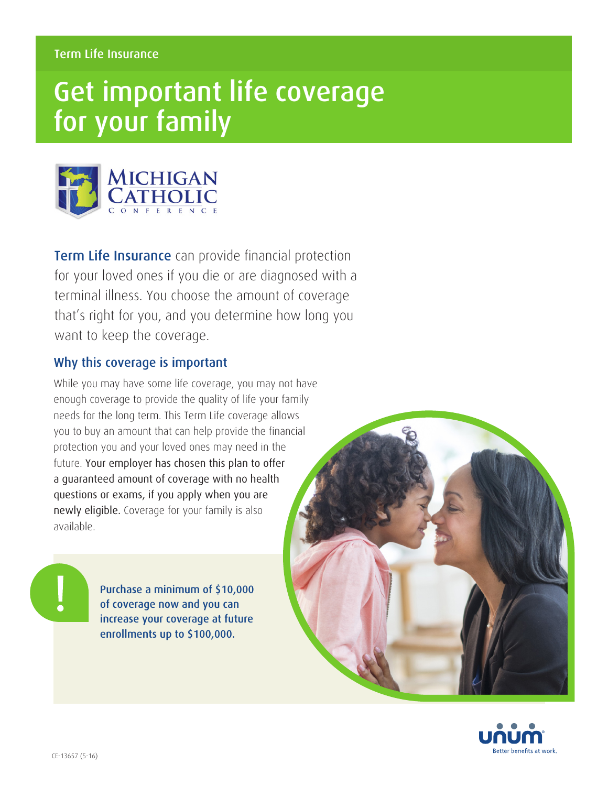# Get important life coverage for your family



**Term Life Insurance** can provide financial protection for your loved ones if you die or are diagnosed with a terminal illness. You choose the amount of coverage that's right for you, and you determine how long you want to keep the coverage.

### Why this coverage is important

While you may have some life coverage, you may not have enough coverage to provide the quality of life your family needs for the long term. This Term Life coverage allows you to buy an amount that can help provide the financial protection you and your loved ones may need in the future. Your employer has chosen this plan to offer a guaranteed amount of coverage with no health questions or exams, if you apply when you are newly eligible. Coverage for your family is also available.

> Purchase a minimum of \$10,000 of coverage now and you can increase your coverage at future enrollments up to \$100,000.



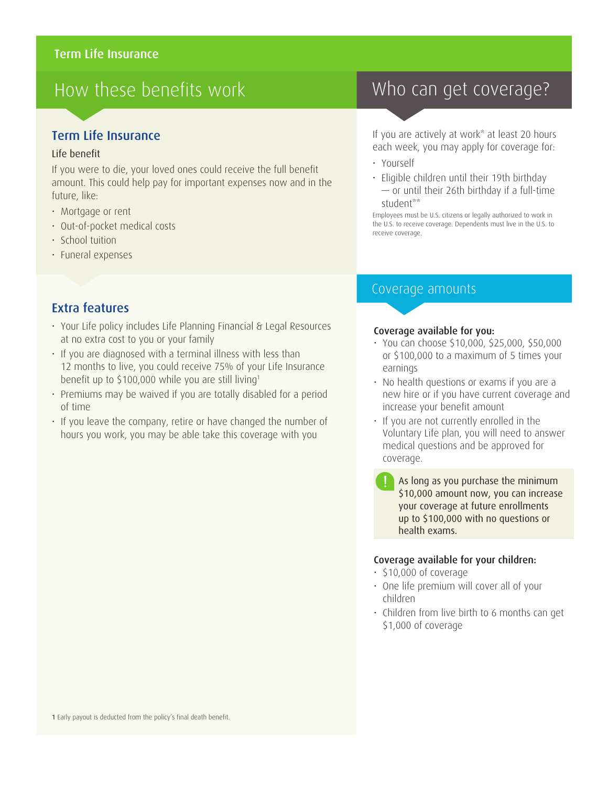## How these benefits work

### Term Life Insurance

#### Life benefit

If you were to die, your loved ones could receive the full benefit amount. This could help pay for important expenses now and in the future, like:

- Mortgage or rent
- Out-of-pocket medical costs
- School tuition
- Funeral expenses

### Extra features

- Your Life policy includes Life Planning Financial & Legal Resources at no extra cost to you or your family
- If you are diagnosed with a terminal illness with less than 12 months to live, you could receive 75% of your Life Insurance benefit up to \$100,000 while you are still living<sup>1</sup>
- Premiums may be waived if you are totally disabled for a period of time
- If you leave the company, retire or have changed the number of hours you work, you may be able take this coverage with you

## Who can get coverage?

If you are actively at work\* at least 20 hours each week, you may apply for coverage for:

- Yourself
- Eligible children until their 19th birthday — or until their 26th birthday if a full-time student\*\*

Employees must be U.S. citizens or legally authorized to work in the U.S. to receive coverage. Dependents must live in the U.S. to receive coverage.

### Coverage amounts

#### Coverage available for you:

- You can choose \$10,000, \$25,000, \$50,000 or \$100,000 to a maximum of 5 times your earnings
- No health questions or exams if you are a new hire or if you have current coverage and increase your benefit amount
- If you are not currently enrolled in the Voluntary Life plan, you will need to answer medical questions and be approved for coverage.
	- As long as you purchase the minimum \$10,000 amount now, you can increase your coverage at future enrollments up to \$100,000 with no questions or health exams.

#### Coverage available for your children:

- \$10,000 of coverage
- One life premium will cover all of your children
- Children from live birth to 6 months can get \$1,000 of coverage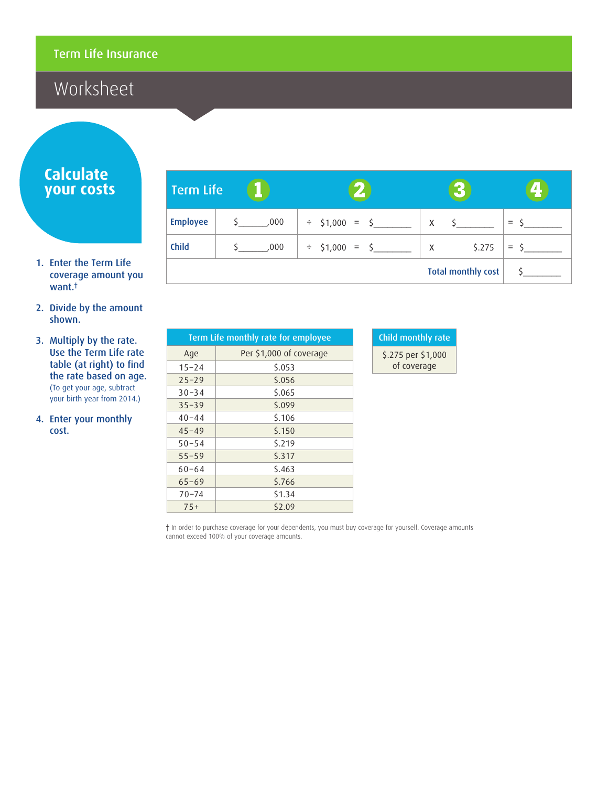## Worksheet

### **Calculate your costs**

- 1. Enter the Term Life coverage amount you want.†
- 2. Divide by the amount shown.
- 3. Multiply by the rate. Use the Term Life rate table (at right) to find the rate based on age. (To get your age, subtract your birth year from 2014.)
- 4. Enter your monthly cost.

| <b>Term Life</b> |      |                     |                           |     |
|------------------|------|---------------------|---------------------------|-----|
| <b>Employee</b>  | 000  | $\div$ \$1,000 = \$ | $\mathsf{X}$              |     |
| <b>Child</b>     | ,000 | $\div$ \$1,000 = \$ | \$.275<br>$\mathsf{X}$    | $=$ |
|                  |      |                     | <b>Total monthly cost</b> |     |

| Term Life monthly rate for employee |                         |  |  |  |
|-------------------------------------|-------------------------|--|--|--|
| Age                                 | Per \$1,000 of coverage |  |  |  |
| $15 - 24$                           | \$.053                  |  |  |  |
| $25 - 29$                           | \$.056                  |  |  |  |
| $30 - 34$                           | \$.065                  |  |  |  |
| $35 - 39$                           | 5.099                   |  |  |  |
| $40 - 44$                           | \$.106                  |  |  |  |
| $45 - 49$                           | \$.150                  |  |  |  |
| $50 - 54$                           | 5.219                   |  |  |  |
| $55 - 59$                           | 5.317                   |  |  |  |
| $60 - 64$                           | 5.463                   |  |  |  |
| $65 - 69$                           | \$.766                  |  |  |  |
| $70 - 74$                           | \$1.34                  |  |  |  |
| $75+$                               | \$2.09                  |  |  |  |

| Child monthly rate |
|--------------------|
| \$.275 per \$1,000 |
| of coverage        |

† In order to purchase coverage for your dependents, you must buy coverage for yourself. Coverage amounts cannot exceed 100% of your coverage amounts.